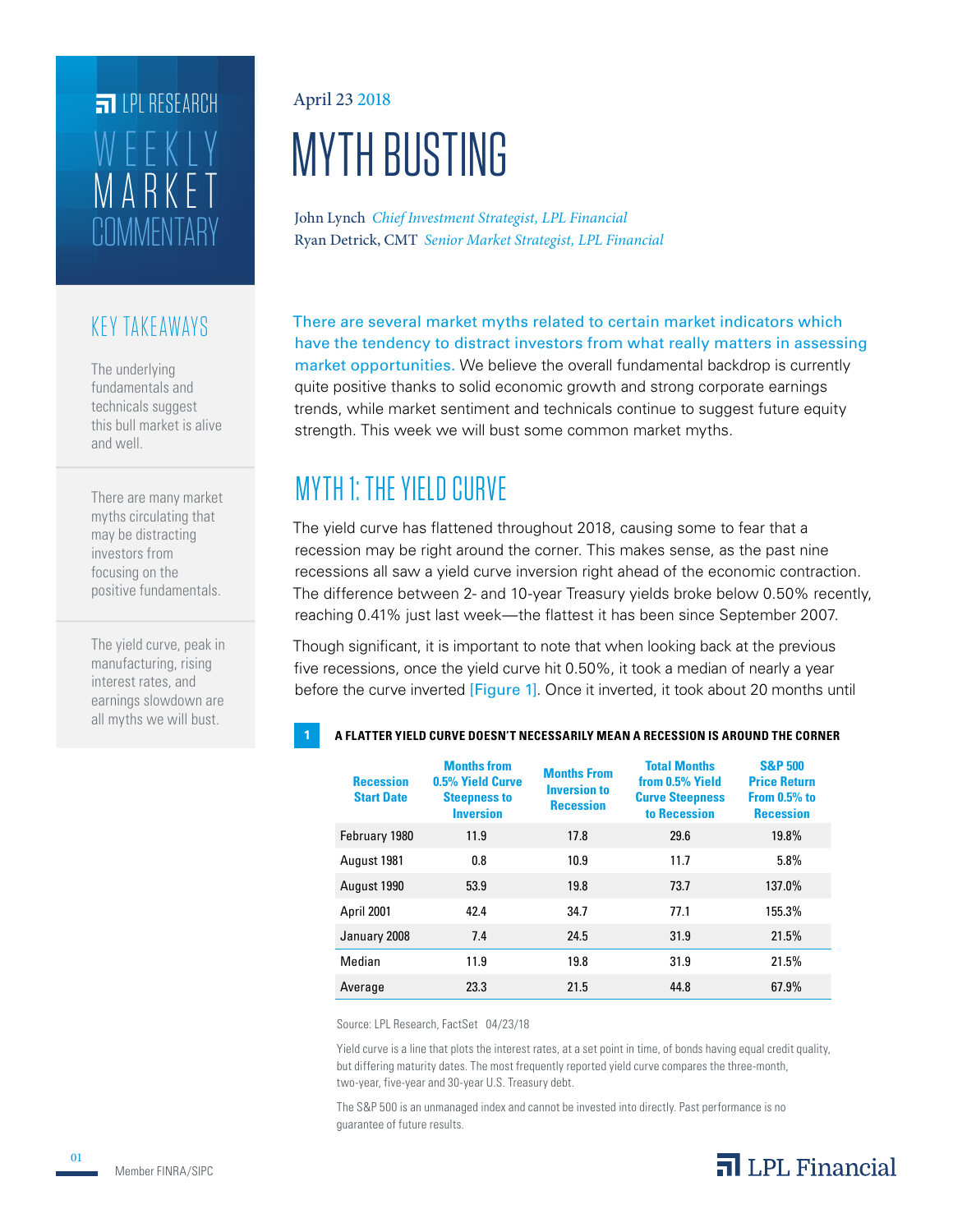# **COMMENTARY** MARKET WEEKLY **ET IPI RESEARCH**

### KEY TAKEAWAYS

The underlying fundamentals and technicals suggest this bull market is alive and well.

There are many market myths circulating that may be distracting investors from focusing on the positive fundamentals.

The yield curve, peak in manufacturing, rising interest rates, and earnings slowdown are all myths we will bust.

#### April 23 2018

# MYTH BUSTING

Ryan Detrick, CMT *Senior Market Strategist, LPL Financial* John Lynch *Chief Investment Strategist, LPL Financial*

There are several market myths related to certain market indicators which have the tendency to distract investors from what really matters in assessing market opportunities. We believe the overall fundamental backdrop is currently quite positive thanks to solid economic growth and strong corporate earnings trends, while market sentiment and technicals continue to suggest future equity strength. This week we will bust some common market myths.

# MYTH 1: THE YIELD CURVE

The yield curve has flattened throughout 2018, causing some to fear that a recession may be right around the corner. This makes sense, as the past nine recessions all saw a yield curve inversion right ahead of the economic contraction. The difference between 2- and 10-year Treasury yields broke below 0.50% recently, reaching 0.41% just last week—the flattest it has been since September 2007.

Though significant, it is important to note that when looking back at the previous five recessions, once the yield curve hit 0.50%, it took a median of nearly a year before the curve inverted [Figure 1]. Once it inverted, it took about 20 months until

#### **1 A FLATTER YIELD CURVE DOESN'T NECESSARILY MEAN A RECESSION IS AROUND THE CORNER**

| <b>Recession</b><br><b>Start Date</b> | <b>Months from</b><br>0.5% Yield Curve<br><b>Steepness to</b><br><b>Inversion</b> | <b>Months From</b><br><b>Inversion to</b><br><b>Recession</b> | <b>Total Months</b><br>from 0.5% Yield<br><b>Curve Steepness</b><br>to Recession | <b>S&amp;P 500</b><br><b>Price Return</b><br><b>From 0.5% to</b><br><b>Recession</b> |
|---------------------------------------|-----------------------------------------------------------------------------------|---------------------------------------------------------------|----------------------------------------------------------------------------------|--------------------------------------------------------------------------------------|
| February 1980                         | 11.9                                                                              | 17.8                                                          | 29.6                                                                             | 19.8%                                                                                |
| August 1981                           | 0.8                                                                               | 10.9                                                          | 11.7                                                                             | 5.8%                                                                                 |
| August 1990                           | 53.9                                                                              | 19.8                                                          | 73.7                                                                             | 137.0%                                                                               |
| April 2001                            | 42.4                                                                              | 34.7                                                          | 77.1                                                                             | 155.3%                                                                               |
| January 2008                          | 7.4                                                                               | 24.5                                                          | 31.9                                                                             | 21.5%                                                                                |
| Median                                | 11.9                                                                              | 19.8                                                          | 31.9                                                                             | 21.5%                                                                                |
| Average                               | 23.3                                                                              | 21.5                                                          | 44.8                                                                             | 67.9%                                                                                |

Source: LPL Research, FactSet 04/23/18

Yield curve is a line that plots the interest rates, at a set point in time, of bonds having equal credit quality, but differing maturity dates. The most frequently reported yield curve compares the three-month, two-year, five-year and 30-year U.S. Treasury debt.

The S&P 500 is an unmanaged index and cannot be invested into directly. Past performance is no guarantee of future results.

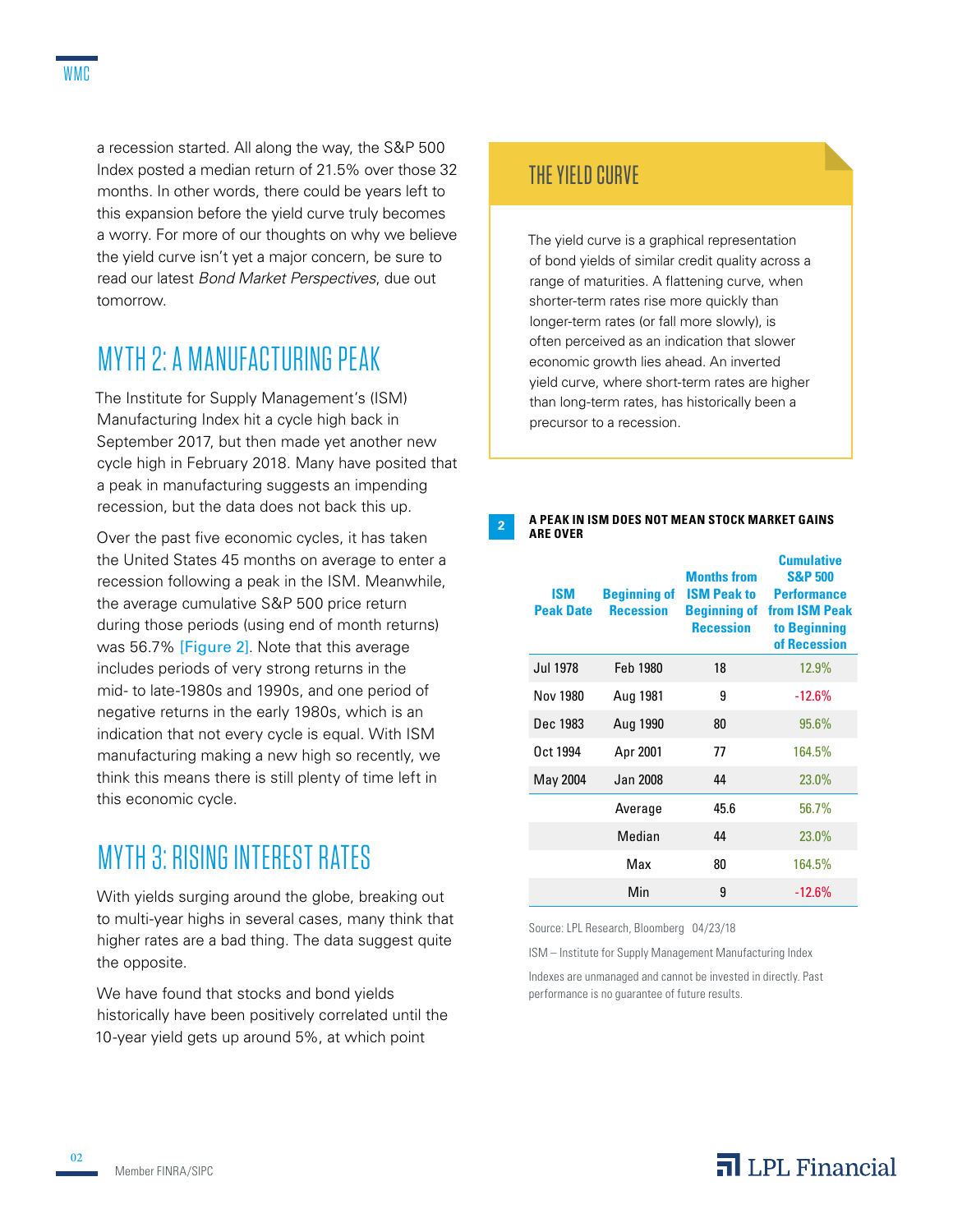a recession started. All along the way, the S&P 500 Index posted a median return of 21.5% over those 32 months. In other words, there could be years left to this expansion before the yield curve truly becomes a worry. For more of our thoughts on why we believe the yield curve isn't yet a major concern, be sure to read our latest *Bond Market Perspectives*, due out tomorrow.

### MYTH 2: A MANUFACTURING PEAK

The Institute for Supply Management's (ISM) Manufacturing Index hit a cycle high back in September 2017, but then made yet another new cycle high in February 2018. Many have posited that a peak in manufacturing suggests an impending recession, but the data does not back this up.

Over the past five economic cycles, it has taken the United States 45 months on average to enter a recession following a peak in the ISM. Meanwhile, the average cumulative S&P 500 price return during those periods (using end of month returns) was 56.7% [Figure 2]. Note that this average includes periods of very strong returns in the mid- to late-1980s and 1990s, and one period of negative returns in the early 1980s, which is an indication that not every cycle is equal. With ISM manufacturing making a new high so recently, we think this means there is still plenty of time left in this economic cycle.

## MYTH 3: RISING INTEREST RATES

With yields surging around the globe, breaking out to multi-year highs in several cases, many think that higher rates are a bad thing. The data suggest quite the opposite.

We have found that stocks and bond yields historically have been positively correlated until the 10-year yield gets up around 5%, at which point

### THE YIELD CURVE

The yield curve is a graphical representation of bond yields of similar credit quality across a range of maturities. A flattening curve, when shorter-term rates rise more quickly than longer-term rates (or fall more slowly), is often perceived as an indication that slower economic growth lies ahead. An inverted yield curve, where short-term rates are higher than long-term rates, has historically been a precursor to a recession.

#### **<sup>2</sup> A PEAK IN ISM DOES NOT MEAN STOCK MARKET GAINS ARE OVER**

| <b>ISM</b><br><b>Peak Date</b> | <b>Beginning of</b><br><b>Recession</b> | <b>Months from</b><br><b>ISM Peak to</b><br><b>Recession</b> | Cumulative<br><b>S&amp;P 500</b><br><b>Performance</b><br><b>Beginning of from ISM Peak</b><br>to Beginning<br>of Recession |
|--------------------------------|-----------------------------------------|--------------------------------------------------------------|-----------------------------------------------------------------------------------------------------------------------------|
| Jul 1978                       | Feb 1980                                | 18                                                           | 12.9%                                                                                                                       |
| Nov 1980                       | Aug 1981                                | 9                                                            | $-12.6%$                                                                                                                    |
| Dec 1983                       | Aug 1990                                | 80                                                           | 95.6%                                                                                                                       |
| Oct 1994                       | Apr 2001                                | 77                                                           | 164.5%                                                                                                                      |
| May 2004                       | Jan 2008                                | 44                                                           | 23.0%                                                                                                                       |
|                                | Average                                 | 45.6                                                         | 56.7%                                                                                                                       |
|                                | Median                                  | 44                                                           | 23.0%                                                                                                                       |
|                                | Max                                     | 80                                                           | 164.5%                                                                                                                      |
|                                | Min                                     | 9                                                            | $-12.6%$                                                                                                                    |

Source: LPL Research, Bloomberg 04/23/18

ISM – Institute for Supply Management Manufacturing Index

Indexes are unmanaged and cannot be invested in directly. Past performance is no guarantee of future results.

 $\overline{\mathbf{a}}$  LPL Financial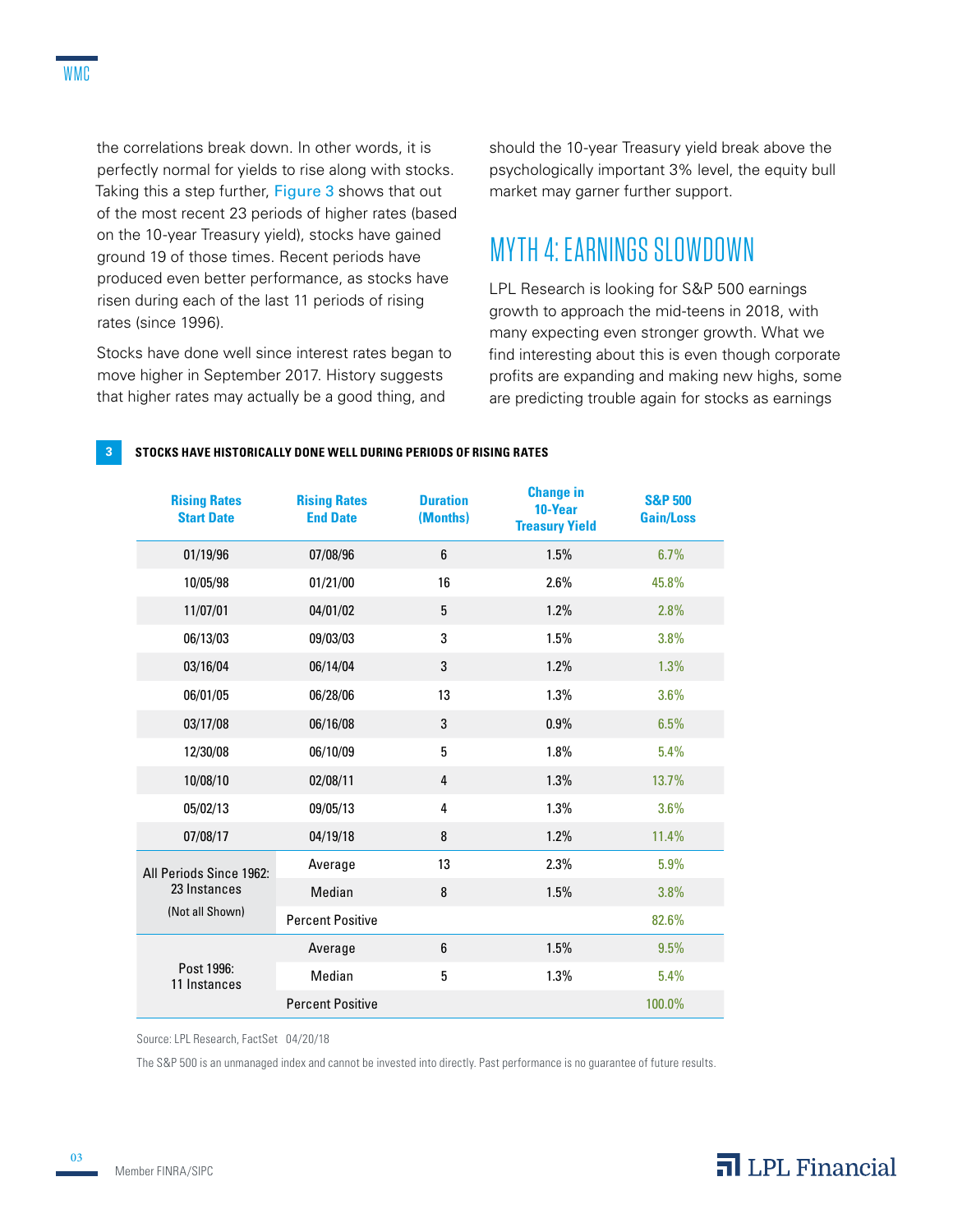the correlations break down. In other words, it is perfectly normal for yields to rise along with stocks. Taking this a step further, Figure 3 shows that out of the most recent 23 periods of higher rates (based on the 10-year Treasury yield), stocks have gained ground 19 of those times. Recent periods have produced even better performance, as stocks have risen during each of the last 11 periods of rising rates (since 1996).

Stocks have done well since interest rates began to move higher in September 2017. History suggests that higher rates may actually be a good thing, and

should the 10-year Treasury yield break above the psychologically important 3% level, the equity bull market may garner further support.

### MYTH 4: EARNINGS SLOWDOWN

LPL Research is looking for S&P 500 earnings growth to approach the mid-teens in 2018, with many expecting even stronger growth. What we find interesting about this is even though corporate profits are expanding and making new highs, some are predicting trouble again for stocks as earnings

#### **3 STOCKS HAVE HISTORICALLY DONE WELL DURING PERIODS OF RISING RATES**

| <b>Rising Rates</b><br><b>Start Date</b> | <b>Rising Rates</b><br><b>End Date</b> | <b>Duration</b><br>(Months) | <b>Change in</b><br>10-Year<br><b>Treasury Yield</b> | <b>S&amp;P 500</b><br><b>Gain/Loss</b> |
|------------------------------------------|----------------------------------------|-----------------------------|------------------------------------------------------|----------------------------------------|
| 01/19/96                                 | 07/08/96                               | 6                           | 1.5%                                                 | 6.7%                                   |
| 10/05/98                                 | 01/21/00                               | 16                          | 2.6%                                                 | 45.8%                                  |
| 11/07/01                                 | 04/01/02                               | 5                           | 1.2%                                                 | 2.8%                                   |
| 06/13/03                                 | 09/03/03                               | 3                           | 1.5%                                                 | 3.8%                                   |
| 03/16/04                                 | 06/14/04                               | 3                           | 1.2%                                                 | 1.3%                                   |
| 06/01/05                                 | 06/28/06                               | 13                          | 1.3%                                                 | 3.6%                                   |
| 03/17/08                                 | 06/16/08                               | 3                           | 0.9%                                                 | 6.5%                                   |
| 12/30/08                                 | 06/10/09                               | 5                           | 1.8%                                                 | 5.4%                                   |
| 10/08/10                                 | 02/08/11                               | 4                           | 1.3%                                                 | 13.7%                                  |
| 05/02/13                                 | 09/05/13                               | 4                           | 1.3%                                                 | 3.6%                                   |
| 07/08/17                                 | 04/19/18                               | 8                           | 1.2%                                                 | 11.4%                                  |
| All Periods Since 1962:                  | Average                                | 13                          | 2.3%                                                 | 5.9%                                   |
| 23 Instances                             | Median                                 | 8                           | 1.5%                                                 | 3.8%                                   |
| (Not all Shown)                          | <b>Percent Positive</b>                |                             |                                                      | 82.6%                                  |
|                                          | Average                                | 6                           | 1.5%                                                 | 9.5%                                   |
| Post 1996:<br>11 Instances               | Median                                 | 5                           | 1.3%                                                 | 5.4%                                   |
|                                          | <b>Percent Positive</b>                |                             |                                                      | 100.0%                                 |

Source: LPL Research, FactSet 04/20/18

The S&P 500 is an unmanaged index and cannot be invested into directly. Past performance is no guarantee of future results.

03

### $\overline{\mathbf{a}}$  LPL Financial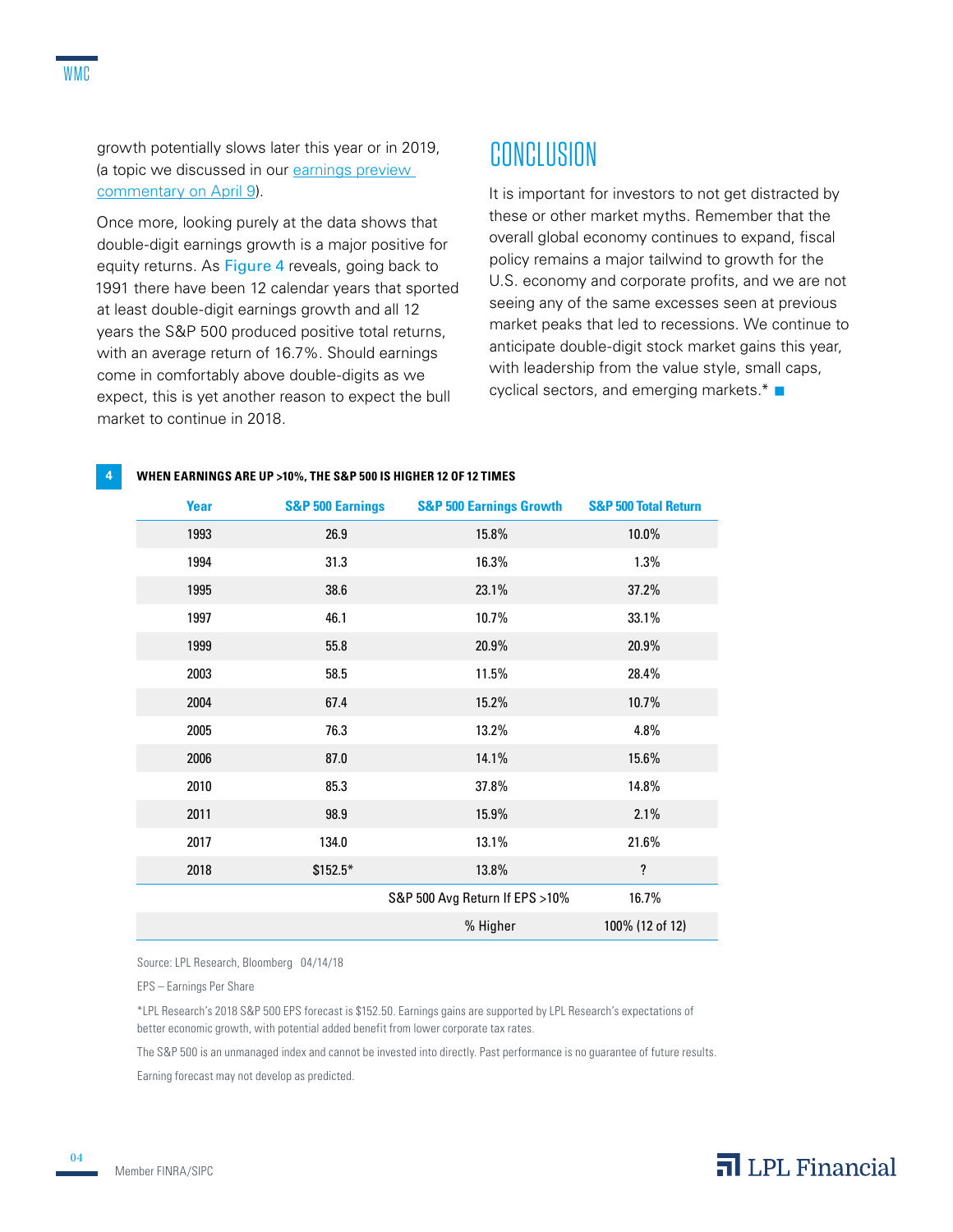growth potentially slows later this year or in 2019, (a topic we discussed in our earnings preview commentary on April 9).

Once more, looking purely at the data shows that double-digit earnings growth is a major positive for equity returns. As Figure 4 reveals, going back to 1991 there have been 12 calendar years that sported at least double-digit earnings growth and all 12 years the S&P 500 produced positive total returns, with an average return of 16.7%. Should earnings come in comfortably above double-digits as we expect, this is yet another reason to expect the bull market to continue in 2018.

## **CONCLUSION**

It is important for investors to not get distracted by these or other market myths. Remember that the overall global economy continues to expand, fiscal policy remains a major tailwind to growth for the U.S. economy and corporate profits, and we are not seeing any of the same excesses seen at previous market peaks that led to recessions. We continue to anticipate double-digit stock market gains this year, with leadership from the value style, small caps, cyclical sectors, and emerging markets. $*$ 

| <b>Year</b> | <b>S&amp;P 500 Earnings</b> | <b>S&amp;P 500 Earnings Growth</b> | <b>S&amp;P 500 Total Return</b> |
|-------------|-----------------------------|------------------------------------|---------------------------------|
| 1993        | 26.9                        | 15.8%                              | 10.0%                           |
| 1994        | 31.3                        | 16.3%                              | 1.3%                            |
| 1995        | 38.6                        | 23.1%                              | 37.2%                           |
| 1997        | 46.1                        | 10.7%                              | 33.1%                           |
| 1999        | 55.8                        | 20.9%                              | 20.9%                           |
| 2003        | 58.5                        | 11.5%                              | 28.4%                           |
| 2004        | 67.4                        | 15.2%                              | 10.7%                           |
| 2005        | 76.3                        | 13.2%                              | 4.8%                            |
| 2006        | 87.0                        | 14.1%                              | 15.6%                           |
| 2010        | 85.3                        | 37.8%                              | 14.8%                           |
| 2011        | 98.9                        | 15.9%                              | 2.1%                            |
| 2017        | 134.0                       | 13.1%                              | 21.6%                           |
| 2018        | $$152.5*$                   | 13.8%                              | $\overline{\mathbf{?}}$         |
|             |                             | S&P 500 Avg Return If EPS >10%     | 16.7%                           |
|             |                             | % Higher                           | 100% (12 of 12)                 |

**4 WHEN EARNINGS ARE UP >10%, THE S&P 500 IS HIGHER 12 OF 12 TIMES**

Source: LPL Research, Bloomberg 04/14/18

EPS – Earnings Per Share

\*LPL Research's 2018 S&P 500 EPS forecast is \$152.50. Earnings gains are supported by LPL Research's expectations of better economic growth, with potential added benefit from lower corporate tax rates.

The S&P 500 is an unmanaged index and cannot be invested into directly. Past performance is no guarantee of future results.

Earning forecast may not develop as predicted.

04